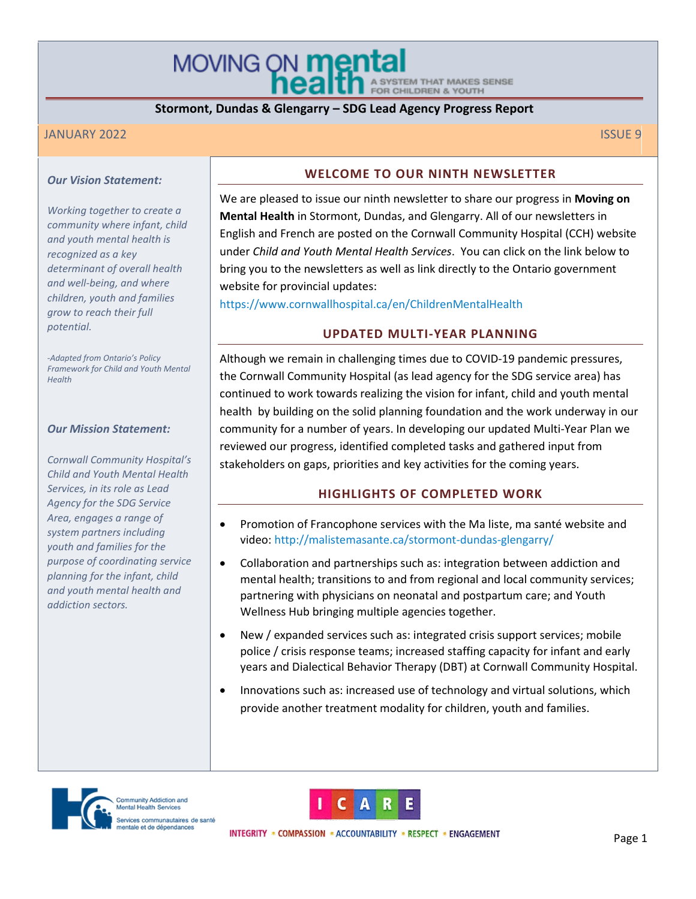MOVING ON **menta** STEM THAT MAKES SENSE FOR CHILDREN & YOUTH

# **Stormont, Dundas & Glengarry – SDG Lead Agency Progress Report**

## JANUARY 2022 ISSUE 9

### *Our Vision Statement:*

*Working together to create a community where infant, child and youth mental health is recognized as a key determinant of overall health and well-being, and where children, youth and families grow to reach their full potential.*

*-Adapted from Ontario's Policy Framework for Child and Youth Mental Health*

#### *Our Mission Statement:*

*Cornwall Community Hospital's Child and Youth Mental Health Services, in its role as Lead Agency for the SDG Service Area, engages a range of system partners including youth and families for the purpose of coordinating service planning for the infant, child and youth mental health and addiction sectors.*

### **WELCOME TO OUR NINTH NEWSLETTER**

We are pleased to issue our ninth newsletter to share our progress in **Moving on Mental Health** in Stormont, Dundas, and Glengarry. All of our newsletters in English and French are posted on the Cornwall Community Hospital (CCH) website under *Child and Youth Mental Health Services*. You can click on the link below to bring you to the newsletters as well as link directly to the Ontario government website for provincial updates:

<https://www.cornwallhospital.ca/en/ChildrenMentalHealth>

## **UPDATED MULTI-YEAR PLANNING**

Although we remain in challenging times due to COVID-19 pandemic pressures, the Cornwall Community Hospital (as lead agency for the SDG service area) has continued to work towards realizing the vision for infant, child and youth mental health by building on the solid planning foundation and the work underway in our community for a number of years. In developing our updated Multi-Year Plan we reviewed our progress, identified completed tasks and gathered input from stakeholders on gaps, priorities and key activities for the coming years.

# **HIGHLIGHTS OF COMPLETED WORK**

- Promotion of Francophone services with the Ma liste, ma santé website and video:<http://malistemasante.ca/stormont-dundas-glengarry/>
- Collaboration and partnerships such as: integration between addiction and mental health; transitions to and from regional and local community services; partnering with physicians on neonatal and postpartum care; and Youth Wellness Hub bringing multiple agencies together.
- New / expanded services such as: integrated crisis support services; mobile police / crisis response teams; increased staffing capacity for infant and early years and Dialectical Behavior Therapy (DBT) at Cornwall Community Hospital.
- Innovations such as: increased use of technology and virtual solutions, which provide another treatment modality for children, youth and families.